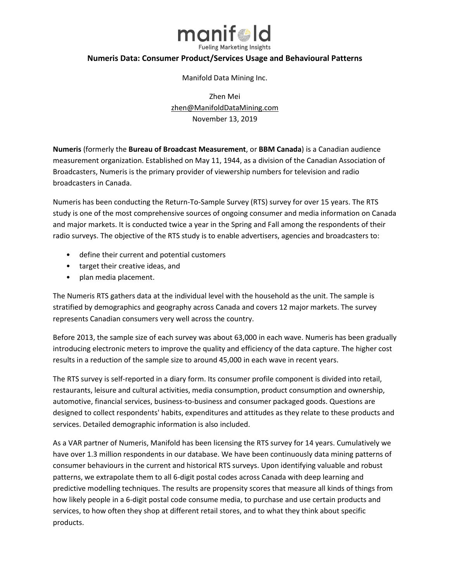

## **Numeris Data: Consumer Product/Services Usage and Behavioural Patterns**

Manifold Data Mining Inc.

Zhen Mei [zhen@ManifoldDataMining.com](mailto:zhen@ManifoldDataMining.com) November 13, 2019

**Numeris** (formerly the **Bureau of Broadcast Measurement**, or **BBM Canada**) is a Canadian [audience](https://en.wikipedia.org/wiki/Audience_measurement)  [measurement](https://en.wikipedia.org/wiki/Audience_measurement) organization. Established on May 11, 1944, as a division of the [Canadian Association of](https://en.wikipedia.org/wiki/Canadian_Association_of_Broadcasters)  [Broadcasters,](https://en.wikipedia.org/wiki/Canadian_Association_of_Broadcasters) Numeris is the primary provider of viewership numbers for television and radio broadcasters in Canada.

Numeris has been conducting the Return-To-Sample Survey (RTS) survey for over 15 years. The RTS study is one of the most comprehensive sources of ongoing consumer and media information on Canada and major markets. It is conducted twice a year in the Spring and Fall among the respondents of their radio surveys. The objective of the RTS study is to enable advertisers, agencies and broadcasters to:

- define their current and potential customers
- target their creative ideas, and
- plan media placement.

The Numeris RTS gathers data at the individual level with the household as the unit. The sample is stratified by demographics and geography across Canada and covers 12 major markets. The survey represents Canadian consumers very well across the country.

Before 2013, the sample size of each survey was about 63,000 in each wave. Numeris has been gradually introducing electronic meters to improve the quality and efficiency of the data capture. The higher cost results in a reduction of the sample size to around 45,000 in each wave in recent years.

The RTS survey is self-reported in a diary form. Its consumer profile component is divided into retail, restaurants, leisure and cultural activities, media consumption, product consumption and ownership, automotive, financial services, business-to-business and consumer packaged goods. Questions are designed to collect respondents' habits, expenditures and attitudes as they relate to these products and services. Detailed demographic information is also included.

As a VAR partner of Numeris, Manifold has been licensing the RTS survey for 14 years. Cumulatively we have over 1.3 million respondents in our database. We have been continuously data mining patterns of consumer behaviours in the current and historical RTS surveys. Upon identifying valuable and robust patterns, we extrapolate them to all 6-digit postal codes across Canada with deep learning and predictive modelling techniques. The results are propensity scores that measure all kinds of things from how likely people in a 6-digit postal code consume media, to purchase and use certain products and services, to how often they shop at different retail stores, and to what they think about specific products.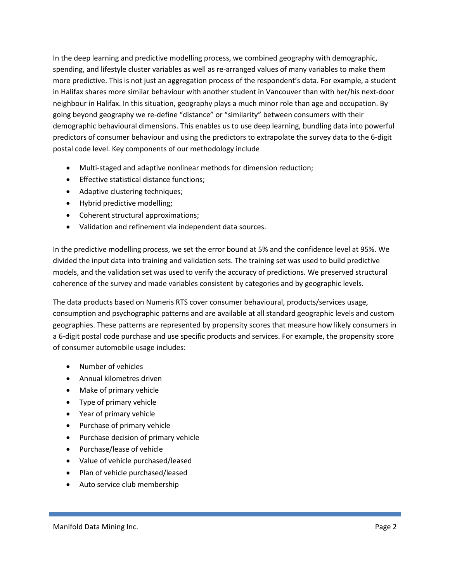In the deep learning and predictive modelling process, we combined geography with demographic, spending, and lifestyle cluster variables as well as re-arranged values of many variables to make them more predictive. This is not just an aggregation process of the respondent's data. For example, a student in Halifax shares more similar behaviour with another student in Vancouver than with her/his next-door neighbour in Halifax. In this situation, geography plays a much minor role than age and occupation. By going beyond geography we re-define "distance" or "similarity" between consumers with their demographic behavioural dimensions. This enables us to use deep learning, bundling data into powerful predictors of consumer behaviour and using the predictors to extrapolate the survey data to the 6-digit postal code level. Key components of our methodology include

- Multi-staged and adaptive nonlinear methods for dimension reduction;
- Effective statistical distance functions;
- Adaptive clustering techniques;
- Hybrid predictive modelling;
- Coherent structural approximations;
- Validation and refinement via independent data sources.

In the predictive modelling process, we set the error bound at 5% and the confidence level at 95%. We divided the input data into training and validation sets. The training set was used to build predictive models, and the validation set was used to verify the accuracy of predictions. We preserved structural coherence of the survey and made variables consistent by categories and by geographic levels.

The data products based on Numeris RTS cover consumer behavioural, products/services usage, consumption and psychographic patterns and are available at all standard geographic levels and custom geographies. These patterns are represented by propensity scores that measure how likely consumers in a 6-digit postal code purchase and use specific products and services. For example, the propensity score of consumer automobile usage includes:

- Number of vehicles
- Annual kilometres driven
- Make of primary vehicle
- Type of primary vehicle
- Year of primary vehicle
- Purchase of primary vehicle
- Purchase decision of primary vehicle
- Purchase/lease of vehicle
- Value of vehicle purchased/leased
- Plan of vehicle purchased/leased
- Auto service club membership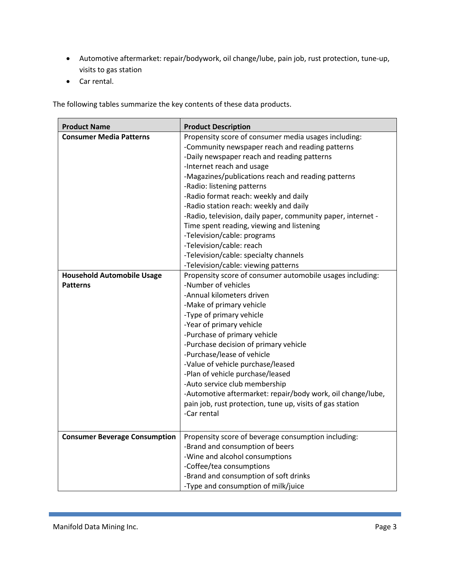- Automotive aftermarket: repair/bodywork, oil change/lube, pain job, rust protection, tune-up, visits to gas station
- Car rental.

The following tables summarize the key contents of these data products.

| <b>Product Name</b>                  | <b>Product Description</b>                                   |
|--------------------------------------|--------------------------------------------------------------|
| <b>Consumer Media Patterns</b>       | Propensity score of consumer media usages including:         |
|                                      | -Community newspaper reach and reading patterns              |
|                                      | -Daily newspaper reach and reading patterns                  |
|                                      | -Internet reach and usage                                    |
|                                      | -Magazines/publications reach and reading patterns           |
|                                      | -Radio: listening patterns                                   |
|                                      | -Radio format reach: weekly and daily                        |
|                                      | -Radio station reach: weekly and daily                       |
|                                      | -Radio, television, daily paper, community paper, internet - |
|                                      | Time spent reading, viewing and listening                    |
|                                      | -Television/cable: programs                                  |
|                                      | -Television/cable: reach                                     |
|                                      | -Television/cable: specialty channels                        |
|                                      | -Television/cable: viewing patterns                          |
| <b>Household Automobile Usage</b>    | Propensity score of consumer automobile usages including:    |
| <b>Patterns</b>                      | -Number of vehicles                                          |
|                                      | -Annual kilometers driven                                    |
|                                      | -Make of primary vehicle                                     |
|                                      | -Type of primary vehicle                                     |
|                                      | -Year of primary vehicle                                     |
|                                      | -Purchase of primary vehicle                                 |
|                                      | -Purchase decision of primary vehicle                        |
|                                      | -Purchase/lease of vehicle                                   |
|                                      | -Value of vehicle purchase/leased                            |
|                                      | -Plan of vehicle purchase/leased                             |
|                                      | -Auto service club membership                                |
|                                      | -Automotive aftermarket: repair/body work, oil change/lube,  |
|                                      | pain job, rust protection, tune up, visits of gas station    |
|                                      | -Car rental                                                  |
|                                      |                                                              |
| <b>Consumer Beverage Consumption</b> | Propensity score of beverage consumption including:          |
|                                      | -Brand and consumption of beers                              |
|                                      | -Wine and alcohol consumptions                               |
|                                      | -Coffee/tea consumptions                                     |
|                                      | -Brand and consumption of soft drinks                        |
|                                      | -Type and consumption of milk/juice                          |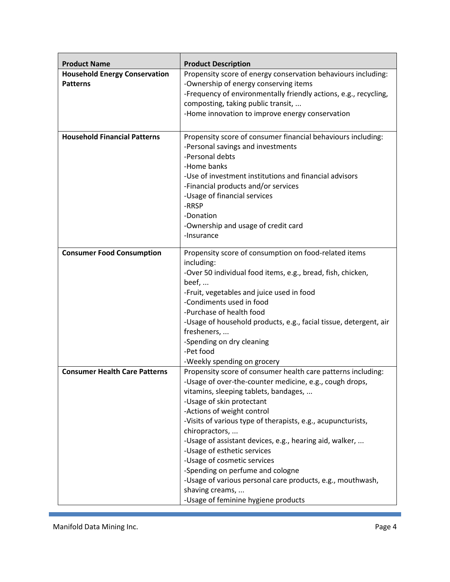| <b>Product Name</b>                                     | <b>Product Description</b>                                                                             |
|---------------------------------------------------------|--------------------------------------------------------------------------------------------------------|
| <b>Household Energy Conservation</b><br><b>Patterns</b> | Propensity score of energy conservation behaviours including:<br>-Ownership of energy conserving items |
|                                                         | -Frequency of environmentally friendly actions, e.g., recycling,<br>composting, taking public transit, |
|                                                         | -Home innovation to improve energy conservation                                                        |
| <b>Household Financial Patterns</b>                     | Propensity score of consumer financial behaviours including:                                           |
|                                                         | -Personal savings and investments<br>-Personal debts                                                   |
|                                                         | -Home banks                                                                                            |
|                                                         | -Use of investment institutions and financial advisors                                                 |
|                                                         | -Financial products and/or services                                                                    |
|                                                         | -Usage of financial services<br>-RRSP                                                                  |
|                                                         | -Donation                                                                                              |
|                                                         | -Ownership and usage of credit card                                                                    |
|                                                         | -Insurance                                                                                             |
| <b>Consumer Food Consumption</b>                        | Propensity score of consumption on food-related items                                                  |
|                                                         | including:                                                                                             |
|                                                         | -Over 50 individual food items, e.g., bread, fish, chicken,<br>beef,                                   |
|                                                         | -Fruit, vegetables and juice used in food                                                              |
|                                                         | -Condiments used in food                                                                               |
|                                                         | -Purchase of health food                                                                               |
|                                                         | -Usage of household products, e.g., facial tissue, detergent, air                                      |
|                                                         | fresheners,<br>-Spending on dry cleaning                                                               |
|                                                         | -Pet food                                                                                              |
|                                                         | -Weekly spending on grocery                                                                            |
| <b>Consumer Health Care Patterns</b>                    | Propensity score of consumer health care patterns including:                                           |
|                                                         | -Usage of over-the-counter medicine, e.g., cough drops,                                                |
|                                                         | vitamins, sleeping tablets, bandages,                                                                  |
|                                                         | -Usage of skin protectant<br>-Actions of weight control                                                |
|                                                         | -Visits of various type of therapists, e.g., acupuncturists,                                           |
|                                                         | chiropractors,                                                                                         |
|                                                         | -Usage of assistant devices, e.g., hearing aid, walker,                                                |
|                                                         | -Usage of esthetic services                                                                            |
|                                                         | -Usage of cosmetic services<br>-Spending on perfume and cologne                                        |
|                                                         | -Usage of various personal care products, e.g., mouthwash,                                             |
|                                                         | shaving creams,                                                                                        |
|                                                         | -Usage of feminine hygiene products                                                                    |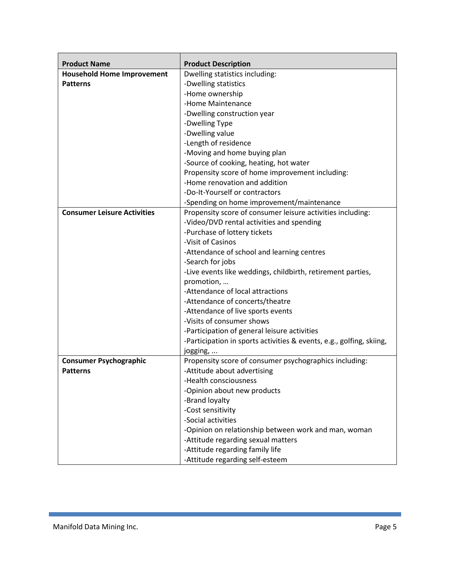| <b>Product Name</b>                | <b>Product Description</b>                                           |
|------------------------------------|----------------------------------------------------------------------|
| <b>Household Home Improvement</b>  | Dwelling statistics including:                                       |
| <b>Patterns</b>                    | -Dwelling statistics                                                 |
|                                    | -Home ownership                                                      |
|                                    | -Home Maintenance                                                    |
|                                    | -Dwelling construction year                                          |
|                                    | -Dwelling Type                                                       |
|                                    | -Dwelling value                                                      |
|                                    | -Length of residence                                                 |
|                                    | -Moving and home buying plan                                         |
|                                    | -Source of cooking, heating, hot water                               |
|                                    | Propensity score of home improvement including:                      |
|                                    | -Home renovation and addition                                        |
|                                    | -Do-It-Yourself or contractors                                       |
|                                    | -Spending on home improvement/maintenance                            |
| <b>Consumer Leisure Activities</b> | Propensity score of consumer leisure activities including:           |
|                                    | -Video/DVD rental activities and spending                            |
|                                    | -Purchase of lottery tickets                                         |
|                                    | -Visit of Casinos                                                    |
|                                    | -Attendance of school and learning centres                           |
|                                    | -Search for jobs                                                     |
|                                    | -Live events like weddings, childbirth, retirement parties,          |
|                                    | promotion,                                                           |
|                                    | -Attendance of local attractions                                     |
|                                    | -Attendance of concerts/theatre                                      |
|                                    | -Attendance of live sports events                                    |
|                                    | -Visits of consumer shows                                            |
|                                    | -Participation of general leisure activities                         |
|                                    | -Participation in sports activities & events, e.g., golfing, skiing, |
|                                    | jogging,                                                             |
| <b>Consumer Psychographic</b>      | Propensity score of consumer psychographics including:               |
| <b>Patterns</b>                    | -Attitude about advertising                                          |
|                                    | -Health consciousness                                                |
|                                    | -Opinion about new products                                          |
|                                    | -Brand loyalty                                                       |
|                                    | -Cost sensitivity                                                    |
|                                    | -Social activities                                                   |
|                                    | -Opinion on relationship between work and man, woman                 |
|                                    | -Attitude regarding sexual matters                                   |
|                                    | -Attitude regarding family life                                      |
|                                    | -Attitude regarding self-esteem                                      |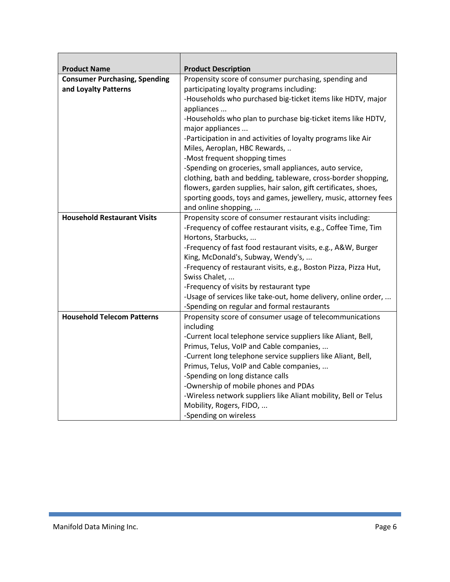| <b>Product Name</b>                  | <b>Product Description</b>                                      |
|--------------------------------------|-----------------------------------------------------------------|
| <b>Consumer Purchasing, Spending</b> | Propensity score of consumer purchasing, spending and           |
| and Loyalty Patterns                 | participating loyalty programs including:                       |
|                                      | -Households who purchased big-ticket items like HDTV, major     |
|                                      | appliances                                                      |
|                                      | -Households who plan to purchase big-ticket items like HDTV,    |
|                                      | major appliances                                                |
|                                      | -Participation in and activities of loyalty programs like Air   |
|                                      | Miles, Aeroplan, HBC Rewards,                                   |
|                                      | -Most frequent shopping times                                   |
|                                      | -Spending on groceries, small appliances, auto service,         |
|                                      | clothing, bath and bedding, tableware, cross-border shopping,   |
|                                      | flowers, garden supplies, hair salon, gift certificates, shoes, |
|                                      | sporting goods, toys and games, jewellery, music, attorney fees |
|                                      | and online shopping,                                            |
| <b>Household Restaurant Visits</b>   | Propensity score of consumer restaurant visits including:       |
|                                      | -Frequency of coffee restaurant visits, e.g., Coffee Time, Tim  |
|                                      | Hortons, Starbucks,                                             |
|                                      | -Frequency of fast food restaurant visits, e.g., A&W, Burger    |
|                                      | King, McDonald's, Subway, Wendy's,                              |
|                                      | -Frequency of restaurant visits, e.g., Boston Pizza, Pizza Hut, |
|                                      | Swiss Chalet,                                                   |
|                                      | -Frequency of visits by restaurant type                         |
|                                      | -Usage of services like take-out, home delivery, online order,  |
|                                      | -Spending on regular and formal restaurants                     |
| <b>Household Telecom Patterns</b>    | Propensity score of consumer usage of telecommunications        |
|                                      | including                                                       |
|                                      | -Current local telephone service suppliers like Aliant, Bell,   |
|                                      | Primus, Telus, VoIP and Cable companies,                        |
|                                      | -Current long telephone service suppliers like Aliant, Bell,    |
|                                      | Primus, Telus, VoIP and Cable companies,                        |
|                                      | -Spending on long distance calls                                |
|                                      | -Ownership of mobile phones and PDAs                            |
|                                      | -Wireless network suppliers like Aliant mobility, Bell or Telus |
|                                      | Mobility, Rogers, FIDO,                                         |
|                                      | -Spending on wireless                                           |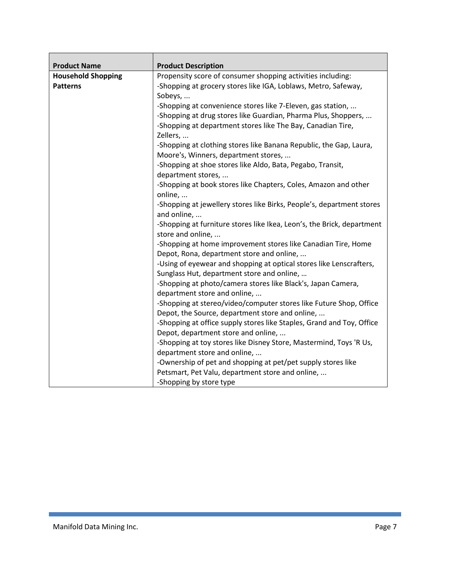| <b>Product Name</b>       | <b>Product Description</b>                                             |
|---------------------------|------------------------------------------------------------------------|
| <b>Household Shopping</b> | Propensity score of consumer shopping activities including:            |
| <b>Patterns</b>           | -Shopping at grocery stores like IGA, Loblaws, Metro, Safeway,         |
|                           | Sobeys,                                                                |
|                           | -Shopping at convenience stores like 7-Eleven, gas station,            |
|                           | -Shopping at drug stores like Guardian, Pharma Plus, Shoppers,         |
|                           | -Shopping at department stores like The Bay, Canadian Tire,            |
|                           | Zellers,                                                               |
|                           | -Shopping at clothing stores like Banana Republic, the Gap, Laura,     |
|                           | Moore's, Winners, department stores,                                   |
|                           | -Shopping at shoe stores like Aldo, Bata, Pegabo, Transit,             |
|                           | department stores,                                                     |
|                           | -Shopping at book stores like Chapters, Coles, Amazon and other        |
|                           | online,                                                                |
|                           | -Shopping at jewellery stores like Birks, People's, department stores  |
|                           | and online,                                                            |
|                           | -Shopping at furniture stores like Ikea, Leon's, the Brick, department |
|                           | store and online,                                                      |
|                           | -Shopping at home improvement stores like Canadian Tire, Home          |
|                           | Depot, Rona, department store and online,                              |
|                           | -Using of eyewear and shopping at optical stores like Lenscrafters,    |
|                           | Sunglass Hut, department store and online,                             |
|                           | -Shopping at photo/camera stores like Black's, Japan Camera,           |
|                           | department store and online,                                           |
|                           | -Shopping at stereo/video/computer stores like Future Shop, Office     |
|                           | Depot, the Source, department store and online,                        |
|                           | -Shopping at office supply stores like Staples, Grand and Toy, Office  |
|                           | Depot, department store and online,                                    |
|                           | -Shopping at toy stores like Disney Store, Mastermind, Toys 'R Us,     |
|                           | department store and online,                                           |
|                           | -Ownership of pet and shopping at pet/pet supply stores like           |
|                           | Petsmart, Pet Valu, department store and online,                       |
|                           | -Shopping by store type                                                |